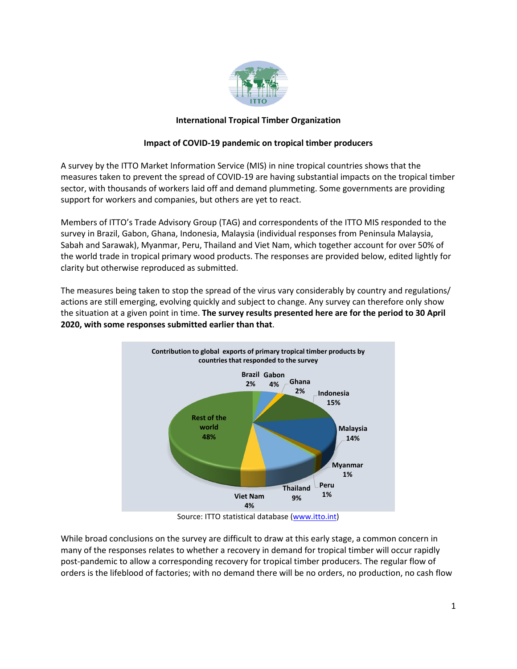

# **International Tropical Timber Organization**

## **Impact of COVID-19 pandemic on tropical timber producers**

A survey by the ITTO Market Information Service (MIS) in nine tropical countries shows that the measures taken to prevent the spread of COVID-19 are having substantial impacts on the tropical timber sector, with thousands of workers laid off and demand plummeting. Some governments are providing support for workers and companies, but others are yet to react.

Members of ITTO's Trade Advisory Group (TAG) and correspondents of the ITTO MIS responded to the survey in Brazil, Gabon, Ghana, Indonesia, Malaysia (individual responses from Peninsula Malaysia, Sabah and Sarawak), Myanmar, Peru, Thailand and Viet Nam, which together account for over 50% of the world trade in tropical primary wood products. The responses are provided below, edited lightly for clarity but otherwise reproduced as submitted.

The measures being taken to stop the spread of the virus vary considerably by country and regulations/ actions are still emerging, evolving quickly and subject to change. Any survey can therefore only show the situation at a given point in time. **The survey results presented here are for the period to 30 April 2020, with some responses submitted earlier than that**.



Source: ITTO statistical database [\(www.itto.int\)](http://www.itto.int/)

While broad conclusions on the survey are difficult to draw at this early stage, a common concern in many of the responses relates to whether a recovery in demand for tropical timber will occur rapidly post-pandemic to allow a corresponding recovery for tropical timber producers. The regular flow of orders is the lifeblood of factories; with no demand there will be no orders, no production, no cash flow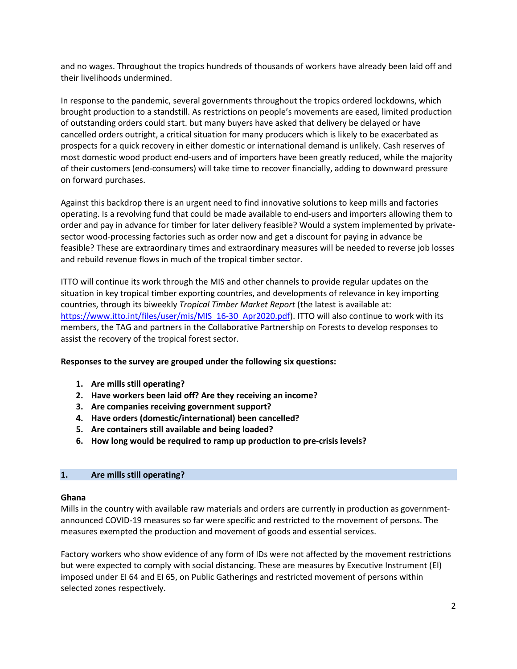and no wages. Throughout the tropics hundreds of thousands of workers have already been laid off and their livelihoods undermined.

In response to the pandemic, several governments throughout the tropics ordered lockdowns, which brought production to a standstill. As restrictions on people's movements are eased, limited production of outstanding orders could start. but many buyers have asked that delivery be delayed or have cancelled orders outright, a critical situation for many producers which is likely to be exacerbated as prospects for a quick recovery in either domestic or international demand is unlikely. Cash reserves of most domestic wood product end-users and of importers have been greatly reduced, while the majority of their customers (end-consumers) will take time to recover financially, adding to downward pressure on forward purchases.

Against this backdrop there is an urgent need to find innovative solutions to keep mills and factories operating. Is a revolving fund that could be made available to end-users and importers allowing them to order and pay in advance for timber for later delivery feasible? Would a system implemented by privatesector wood-processing factories such as order now and get a discount for paying in advance be feasible? These are extraordinary times and extraordinary measures will be needed to reverse job losses and rebuild revenue flows in much of the tropical timber sector.

ITTO will continue its work through the MIS and other channels to provide regular updates on the situation in key tropical timber exporting countries, and developments of relevance in key importing countries, through its biweekly *Tropical Timber Market Report* (the latest is available at: [https://www.itto.int/files/user/mis/MIS\\_16-30\\_Apr2020.pdf\)](https://www.itto.int/files/user/mis/MIS_16-30_Apr2020.pdf). ITTO will also continue to work with its members, the TAG and partners in the Collaborative Partnership on Forests to develop responses to assist the recovery of the tropical forest sector.

## **Responses to the survey are grouped under the following six questions:**

- **1. Are mills still operating?**
- **2. Have workers been laid off? Are they receiving an income?**
- **3. Are companies receiving government support?**
- **4. Have orders (domestic/international) been cancelled?**
- **5. Are containers still available and being loaded?**
- **6. How long would be required to ramp up production to pre-crisis levels?**

## **1. Are mills still operating?**

## **Ghana**

Mills in the country with available raw materials and orders are currently in production as governmentannounced COVID-19 measures so far were specific and restricted to the movement of persons. The measures exempted the production and movement of goods and essential services.

Factory workers who show evidence of any form of IDs were not affected by the movement restrictions but were expected to comply with social distancing. These are measures by Executive Instrument (EI) imposed under EI 64 and EI 65, on Public Gatherings and restricted movement of persons within selected zones respectively.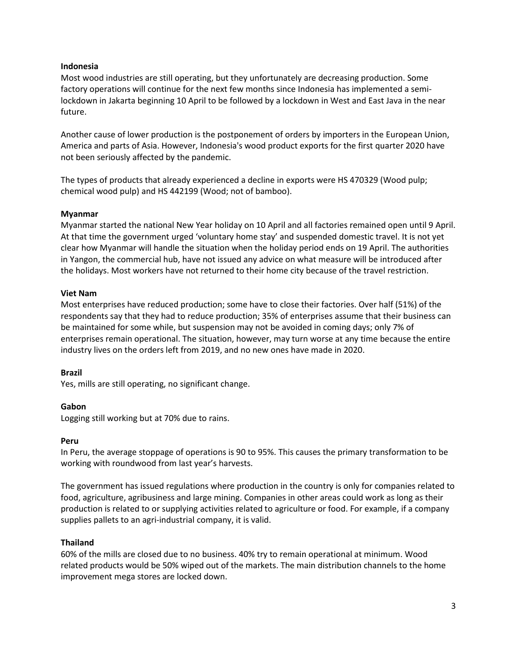#### **Indonesia**

Most wood industries are still operating, but they unfortunately are decreasing production. Some factory operations will continue for the next few months since Indonesia has implemented a semilockdown in Jakarta beginning 10 April to be followed by a lockdown in West and East Java in the near future.

Another cause of lower production is the postponement of orders by importers in the European Union, America and parts of Asia. However, Indonesia's wood product exports for the first quarter 2020 have not been seriously affected by the pandemic.

The types of products that already experienced a decline in exports were HS 470329 (Wood pulp; chemical wood pulp) and HS 442199 (Wood; not of bamboo).

### **Myanmar**

Myanmar started the national New Year holiday on 10 April and all factories remained open until 9 April. At that time the government urged 'voluntary home stay' and suspended domestic travel. It is not yet clear how Myanmar will handle the situation when the holiday period ends on 19 April. The authorities in Yangon, the commercial hub, have not issued any advice on what measure will be introduced after the holidays. Most workers have not returned to their home city because of the travel restriction.

### **Viet Nam**

Most enterprises have reduced production; some have to close their factories. Over half (51%) of the respondents say that they had to reduce production; 35% of enterprises assume that their business can be maintained for some while, but suspension may not be avoided in coming days; only 7% of enterprises remain operational. The situation, however, may turn worse at any time because the entire industry lives on the orders left from 2019, and no new ones have made in 2020.

#### **Brazil**

Yes, mills are still operating, no significant change.

## **Gabon**

Logging still working but at 70% due to rains.

#### **Peru**

In Peru, the average stoppage of operations is 90 to 95%. This causes the primary transformation to be working with roundwood from last year's harvests.

The government has issued regulations where production in the country is only for companies related to food, agriculture, agribusiness and large mining. Companies in other areas could work as long as their production is related to or supplying activities related to agriculture or food. For example, if a company supplies pallets to an agri-industrial company, it is valid.

## **Thailand**

60% of the mills are closed due to no business. 40% try to remain operational at minimum. Wood related products would be 50% wiped out of the markets. The main distribution channels to the home improvement mega stores are locked down.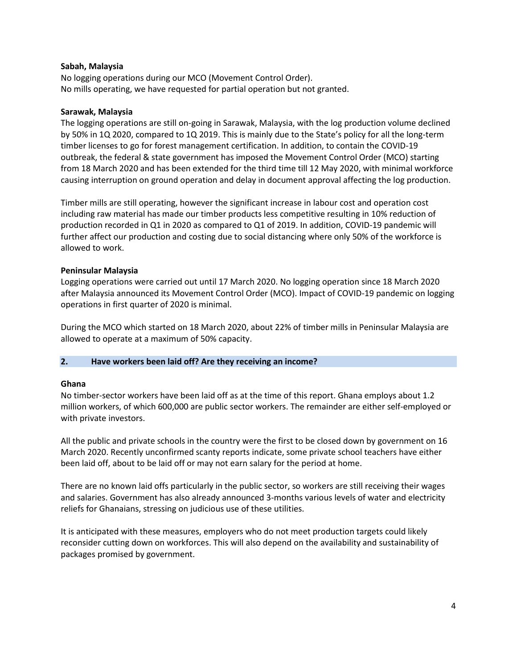### **Sabah, Malaysia**

No logging operations during our MCO (Movement Control Order). No mills operating, we have requested for partial operation but not granted.

#### **Sarawak, Malaysia**

The logging operations are still on-going in Sarawak, Malaysia, with the log production volume declined by 50% in 1Q 2020, compared to 1Q 2019. This is mainly due to the State's policy for all the long-term timber licenses to go for forest management certification. In addition, to contain the COVID-19 outbreak, the federal & state government has imposed the Movement Control Order (MCO) starting from 18 March 2020 and has been extended for the third time till 12 May 2020, with minimal workforce causing interruption on ground operation and delay in document approval affecting the log production.

Timber mills are still operating, however the significant increase in labour cost and operation cost including raw material has made our timber products less competitive resulting in 10% reduction of production recorded in Q1 in 2020 as compared to Q1 of 2019. In addition, COVID-19 pandemic will further affect our production and costing due to social distancing where only 50% of the workforce is allowed to work.

### **Peninsular Malaysia**

Logging operations were carried out until 17 March 2020. No logging operation since 18 March 2020 after Malaysia announced its Movement Control Order (MCO). Impact of COVID-19 pandemic on logging operations in first quarter of 2020 is minimal.

During the MCO which started on 18 March 2020, about 22% of timber mills in Peninsular Malaysia are allowed to operate at a maximum of 50% capacity.

#### **2. Have workers been laid off? Are they receiving an income?**

#### **Ghana**

No timber-sector workers have been laid off as at the time of this report. Ghana employs about 1.2 million workers, of which 600,000 are public sector workers. The remainder are either self-employed or with private investors.

All the public and private schools in the country were the first to be closed down by government on 16 March 2020. Recently unconfirmed scanty reports indicate, some private school teachers have either been laid off, about to be laid off or may not earn salary for the period at home.

There are no known laid offs particularly in the public sector, so workers are still receiving their wages and salaries. Government has also already announced 3-months various levels of water and electricity reliefs for Ghanaians, stressing on judicious use of these utilities.

It is anticipated with these measures, employers who do not meet production targets could likely reconsider cutting down on workforces. This will also depend on the availability and sustainability of packages promised by government.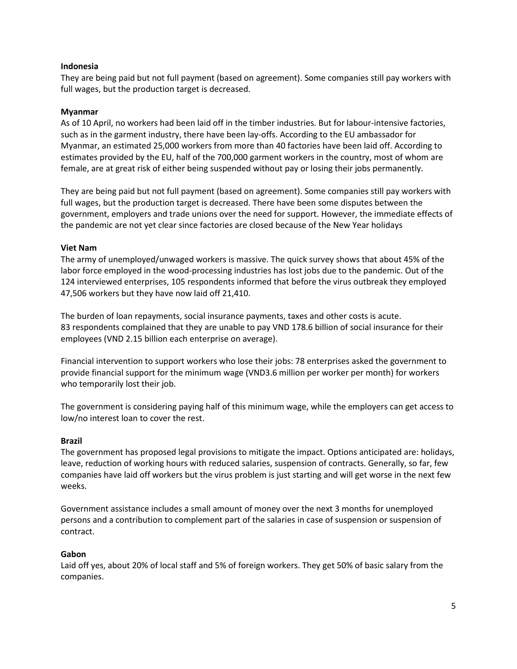### **Indonesia**

They are being paid but not full payment (based on agreement). Some companies still pay workers with full wages, but the production target is decreased.

### **Myanmar**

As of 10 April, no workers had been laid off in the timber industries. But for labour-intensive factories, such as in the garment industry, there have been lay-offs. According to the EU ambassador for Myanmar, an estimated 25,000 workers from more than 40 factories have been laid off. According to estimates provided by the EU, half of the 700,000 garment workers in the country, most of whom are female, are at great risk of either being suspended without pay or losing their jobs permanently.

They are being paid but not full payment (based on agreement). Some companies still pay workers with full wages, but the production target is decreased. There have been some disputes between the government, employers and trade unions over the need for support. However, the immediate effects of the pandemic are not yet clear since factories are closed because of the New Year holidays

### **Viet Nam**

The army of unemployed/unwaged workers is massive. The quick survey shows that about 45% of the labor force employed in the wood-processing industries has lost jobs due to the pandemic. Out of the 124 interviewed enterprises, 105 respondents informed that before the virus outbreak they employed 47,506 workers but they have now laid off 21,410.

The burden of loan repayments, social insurance payments, taxes and other costs is acute. 83 respondents complained that they are unable to pay VND 178.6 billion of social insurance for their employees (VND 2.15 billion each enterprise on average).

Financial intervention to support workers who lose their jobs: 78 enterprises asked the government to provide financial support for the minimum wage (VND3.6 million per worker per month) for workers who temporarily lost their job.

The government is considering paying half of this minimum wage, while the employers can get access to low/no interest loan to cover the rest.

#### **Brazil**

The government has proposed legal provisions to mitigate the impact. Options anticipated are: holidays, leave, reduction of working hours with reduced salaries, suspension of contracts. Generally, so far, few companies have laid off workers but the virus problem is just starting and will get worse in the next few weeks.

Government assistance includes a small amount of money over the next 3 months for unemployed persons and a contribution to complement part of the salaries in case of suspension or suspension of contract.

#### **Gabon**

Laid off yes, about 20% of local staff and 5% of foreign workers. They get 50% of basic salary from the companies.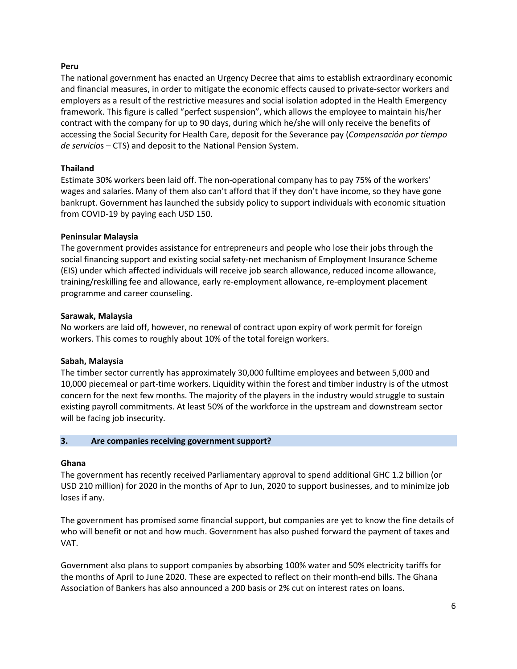### **Peru**

The national government has enacted an Urgency Decree that aims to establish extraordinary economic and financial measures, in order to mitigate the economic effects caused to private-sector workers and employers as a result of the restrictive measures and social isolation adopted in the Health Emergency framework. This figure is called "perfect suspension", which allows the employee to maintain his/her contract with the company for up to 90 days, during which he/she will only receive the benefits of accessing the Social Security for Health Care, deposit for the Severance pay (*Compensación por tiempo de servicio*s – CTS) and deposit to the National Pension System.

## **Thailand**

Estimate 30% workers been laid off. The non-operational company has to pay 75% of the workers' wages and salaries. Many of them also can't afford that if they don't have income, so they have gone bankrupt. Government has launched the subsidy policy to support individuals with economic situation from COVID-19 by paying each USD 150.

# **Peninsular Malaysia**

The government provides assistance for entrepreneurs and people who lose their jobs through the social financing support and existing social safety-net mechanism of Employment Insurance Scheme (EIS) under which affected individuals will receive job search allowance, reduced income allowance, training/reskilling fee and allowance, early re-employment allowance, re-employment placement programme and career counseling.

## **Sarawak, Malaysia**

No workers are laid off, however, no renewal of contract upon expiry of work permit for foreign workers. This comes to roughly about 10% of the total foreign workers.

## **Sabah, Malaysia**

The timber sector currently has approximately 30,000 fulltime employees and between 5,000 and 10,000 piecemeal or part-time workers. Liquidity within the forest and timber industry is of the utmost concern for the next few months. The majority of the players in the industry would struggle to sustain existing payroll commitments. At least 50% of the workforce in the upstream and downstream sector will be facing job insecurity.

## **3. Are companies receiving government support?**

## **Ghana**

The government has recently received Parliamentary approval to spend additional GHC 1.2 billion (or USD 210 million) for 2020 in the months of Apr to Jun, 2020 to support businesses, and to minimize job loses if any.

The government has promised some financial support, but companies are yet to know the fine details of who will benefit or not and how much. Government has also pushed forward the payment of taxes and VAT.

Government also plans to support companies by absorbing 100% water and 50% electricity tariffs for the months of April to June 2020. These are expected to reflect on their month-end bills. The Ghana Association of Bankers has also announced a 200 basis or 2% cut on interest rates on loans.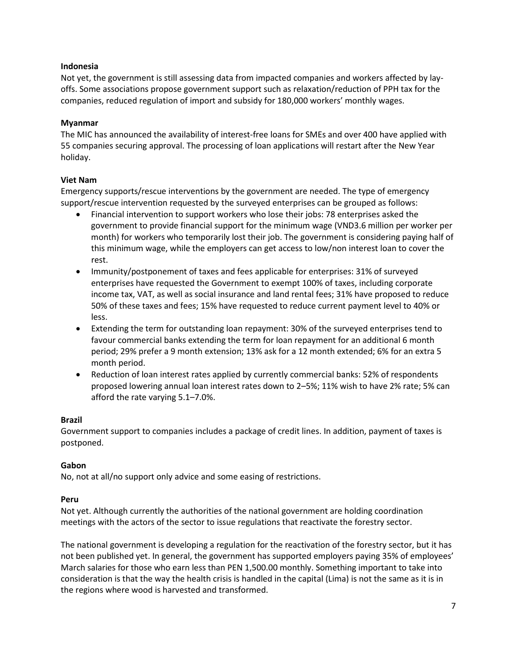### **Indonesia**

Not yet, the government is still assessing data from impacted companies and workers affected by layoffs. Some associations propose government support such as relaxation/reduction of PPH tax for the companies, reduced regulation of import and subsidy for 180,000 workers' monthly wages.

### **Myanmar**

The MIC has announced the availability of interest-free loans for SMEs and over 400 have applied with 55 companies securing approval. The processing of loan applications will restart after the New Year holiday.

### **Viet Nam**

Emergency supports/rescue interventions by the government are needed. The type of emergency support/rescue intervention requested by the surveyed enterprises can be grouped as follows:

- Financial intervention to support workers who lose their jobs: 78 enterprises asked the government to provide financial support for the minimum wage (VND3.6 million per worker per month) for workers who temporarily lost their job. The government is considering paying half of this minimum wage, while the employers can get access to low/non interest loan to cover the rest.
- Immunity/postponement of taxes and fees applicable for enterprises: 31% of surveyed enterprises have requested the Government to exempt 100% of taxes, including corporate income tax, VAT, as well as social insurance and land rental fees; 31% have proposed to reduce 50% of these taxes and fees; 15% have requested to reduce current payment level to 40% or less.
- Extending the term for outstanding loan repayment: 30% of the surveyed enterprises tend to favour commercial banks extending the term for loan repayment for an additional 6 month period; 29% prefer a 9 month extension; 13% ask for a 12 month extended; 6% for an extra 5 month period.
- Reduction of loan interest rates applied by currently commercial banks: 52% of respondents proposed lowering annual loan interest rates down to 2–5%; 11% wish to have 2% rate; 5% can afford the rate varying 5.1–7.0%.

## **Brazil**

Government support to companies includes a package of credit lines. In addition, payment of taxes is postponed.

## **Gabon**

No, not at all/no support only advice and some easing of restrictions.

## **Peru**

Not yet. Although currently the authorities of the national government are holding coordination meetings with the actors of the sector to issue regulations that reactivate the forestry sector.

The national government is developing a regulation for the reactivation of the forestry sector, but it has not been published yet. In general, the government has supported employers paying 35% of employees' March salaries for those who earn less than PEN 1,500.00 monthly. Something important to take into consideration is that the way the health crisis is handled in the capital (Lima) is not the same as it is in the regions where wood is harvested and transformed.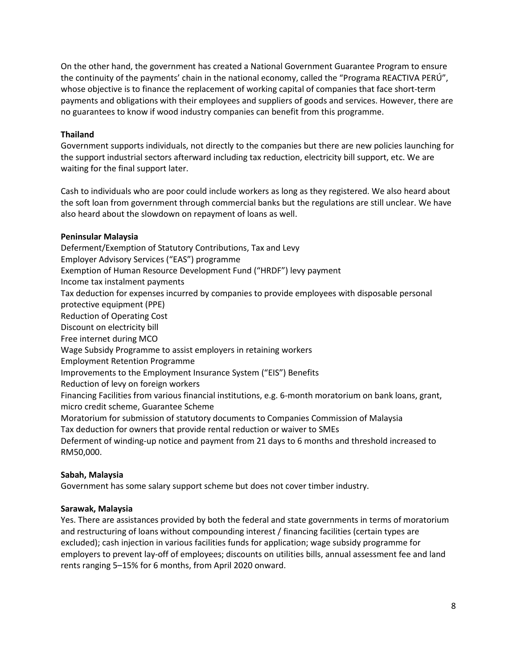On the other hand, the government has created a National Government Guarantee Program to ensure the continuity of the payments' chain in the national economy, called the "Programa REACTIVA PERÚ", whose objective is to finance the replacement of working capital of companies that face short-term payments and obligations with their employees and suppliers of goods and services. However, there are no guarantees to know if wood industry companies can benefit from this programme.

# **Thailand**

Government supports individuals, not directly to the companies but there are new policies launching for the support industrial sectors afterward including tax reduction, electricity bill support, etc. We are waiting for the final support later.

Cash to individuals who are poor could include workers as long as they registered. We also heard about the soft loan from government through commercial banks but the regulations are still unclear. We have also heard about the slowdown on repayment of loans as well.

# **Peninsular Malaysia**

Deferment/Exemption of Statutory Contributions, Tax and Levy Employer Advisory Services ("EAS") programme Exemption of Human Resource Development Fund ("HRDF") levy payment Income tax instalment payments Tax deduction for expenses incurred by companies to provide employees with disposable personal protective equipment (PPE) Reduction of Operating Cost Discount on electricity bill Free internet during MCO Wage Subsidy Programme to assist employers in retaining workers Employment Retention Programme Improvements to the Employment Insurance System ("EIS") Benefits Reduction of levy on foreign workers Financing Facilities from various financial institutions, e.g. 6-month moratorium on bank loans, grant, micro credit scheme, Guarantee Scheme Moratorium for submission of statutory documents to Companies Commission of Malaysia Tax deduction for owners that provide rental reduction or waiver to SMEs Deferment of winding-up notice and payment from 21 days to 6 months and threshold increased to RM50,000.

## **Sabah, Malaysia**

Government has some salary support scheme but does not cover timber industry.

## **Sarawak, Malaysia**

Yes. There are assistances provided by both the federal and state governments in terms of moratorium and restructuring of loans without compounding interest / financing facilities (certain types are excluded); cash injection in various facilities funds for application; wage subsidy programme for employers to prevent lay-off of employees; discounts on utilities bills, annual assessment fee and land rents ranging 5–15% for 6 months, from April 2020 onward.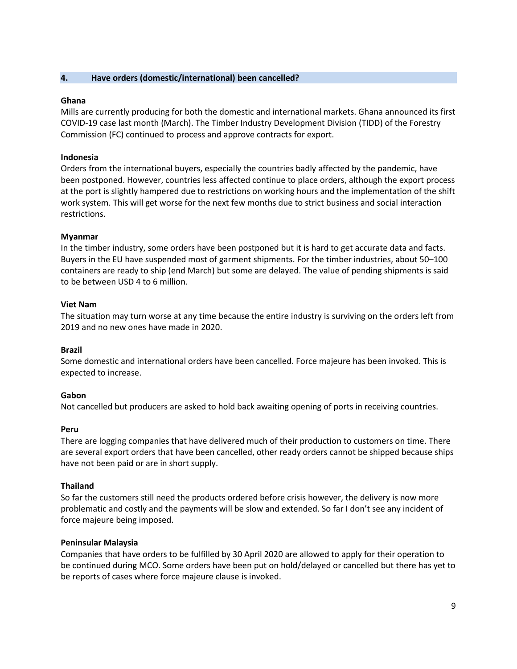### **4. Have orders (domestic/international) been cancelled?**

### **Ghana**

Mills are currently producing for both the domestic and international markets. Ghana announced its first COVID-19 case last month (March). The Timber Industry Development Division (TIDD) of the Forestry Commission (FC) continued to process and approve contracts for export.

### **Indonesia**

Orders from the international buyers, especially the countries badly affected by the pandemic, have been postponed. However, countries less affected continue to place orders, although the export process at the port is slightly hampered due to restrictions on working hours and the implementation of the shift work system. This will get worse for the next few months due to strict business and social interaction restrictions.

### **Myanmar**

In the timber industry, some orders have been postponed but it is hard to get accurate data and facts. Buyers in the EU have suspended most of garment shipments. For the timber industries, about 50–100 containers are ready to ship (end March) but some are delayed. The value of pending shipments is said to be between USD 4 to 6 million.

### **Viet Nam**

The situation may turn worse at any time because the entire industry is surviving on the orders left from 2019 and no new ones have made in 2020.

#### **Brazil**

Some domestic and international orders have been cancelled. Force majeure has been invoked. This is expected to increase.

#### **Gabon**

Not cancelled but producers are asked to hold back awaiting opening of ports in receiving countries.

#### **Peru**

There are logging companies that have delivered much of their production to customers on time. There are several export orders that have been cancelled, other ready orders cannot be shipped because ships have not been paid or are in short supply.

#### **Thailand**

So far the customers still need the products ordered before crisis however, the delivery is now more problematic and costly and the payments will be slow and extended. So far I don't see any incident of force majeure being imposed.

#### **Peninsular Malaysia**

Companies that have orders to be fulfilled by 30 April 2020 are allowed to apply for their operation to be continued during MCO. Some orders have been put on hold/delayed or cancelled but there has yet to be reports of cases where force majeure clause is invoked.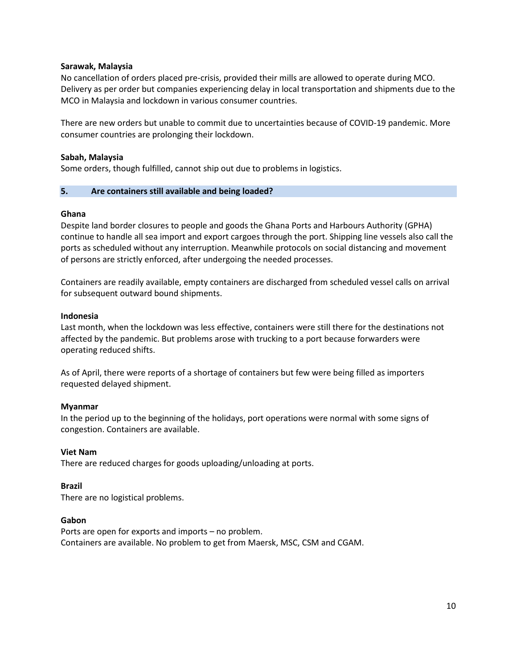### **Sarawak, Malaysia**

No cancellation of orders placed pre-crisis, provided their mills are allowed to operate during MCO. Delivery as per order but companies experiencing delay in local transportation and shipments due to the MCO in Malaysia and lockdown in various consumer countries.

There are new orders but unable to commit due to uncertainties because of COVID-19 pandemic. More consumer countries are prolonging their lockdown.

### **Sabah, Malaysia**

Some orders, though fulfilled, cannot ship out due to problems in logistics.

### **5. Are containers still available and being loaded?**

### **Ghana**

Despite land border closures to people and goods the Ghana Ports and Harbours Authority (GPHA) continue to handle all sea import and export cargoes through the port. Shipping line vessels also call the ports as scheduled without any interruption. Meanwhile protocols on social distancing and movement of persons are strictly enforced, after undergoing the needed processes.

Containers are readily available, empty containers are discharged from scheduled vessel calls on arrival for subsequent outward bound shipments.

### **Indonesia**

Last month, when the lockdown was less effective, containers were still there for the destinations not affected by the pandemic. But problems arose with trucking to a port because forwarders were operating reduced shifts.

As of April, there were reports of a shortage of containers but few were being filled as importers requested delayed shipment.

#### **Myanmar**

In the period up to the beginning of the holidays, port operations were normal with some signs of congestion. Containers are available.

## **Viet Nam**

There are reduced charges for goods uploading/unloading at ports.

#### **Brazil**

There are no logistical problems.

#### **Gabon**

Ports are open for exports and imports – no problem. Containers are available. No problem to get from Maersk, MSC, CSM and CGAM.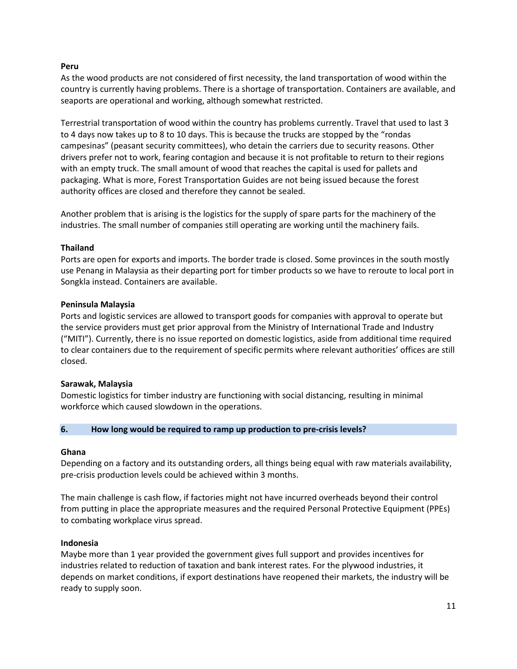### **Peru**

As the wood products are not considered of first necessity, the land transportation of wood within the country is currently having problems. There is a shortage of transportation. Containers are available, and seaports are operational and working, although somewhat restricted.

Terrestrial transportation of wood within the country has problems currently. Travel that used to last 3 to 4 days now takes up to 8 to 10 days. This is because the trucks are stopped by the "rondas campesinas" (peasant security committees), who detain the carriers due to security reasons. Other drivers prefer not to work, fearing contagion and because it is not profitable to return to their regions with an empty truck. The small amount of wood that reaches the capital is used for pallets and packaging. What is more, Forest Transportation Guides are not being issued because the forest authority offices are closed and therefore they cannot be sealed.

Another problem that is arising is the logistics for the supply of spare parts for the machinery of the industries. The small number of companies still operating are working until the machinery fails.

## **Thailand**

Ports are open for exports and imports. The border trade is closed. Some provinces in the south mostly use Penang in Malaysia as their departing port for timber products so we have to reroute to local port in Songkla instead. Containers are available.

### **Peninsula Malaysia**

Ports and logistic services are allowed to transport goods for companies with approval to operate but the service providers must get prior approval from the Ministry of International Trade and Industry ("MITI"). Currently, there is no issue reported on domestic logistics, aside from additional time required to clear containers due to the requirement of specific permits where relevant authorities' offices are still closed.

#### **Sarawak, Malaysia**

Domestic logistics for timber industry are functioning with social distancing, resulting in minimal workforce which caused slowdown in the operations.

#### **6. How long would be required to ramp up production to pre-crisis levels?**

#### **Ghana**

Depending on a factory and its outstanding orders, all things being equal with raw materials availability, pre-crisis production levels could be achieved within 3 months.

The main challenge is cash flow, if factories might not have incurred overheads beyond their control from putting in place the appropriate measures and the required Personal Protective Equipment (PPEs) to combating workplace virus spread.

## **Indonesia**

Maybe more than 1 year provided the government gives full support and provides incentives for industries related to reduction of taxation and bank interest rates. For the plywood industries, it depends on market conditions, if export destinations have reopened their markets, the industry will be ready to supply soon.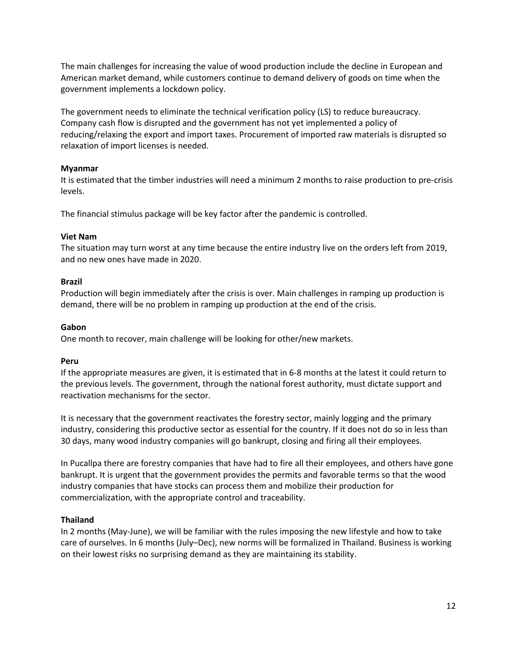The main challenges for increasing the value of wood production include the decline in European and American market demand, while customers continue to demand delivery of goods on time when the government implements a lockdown policy.

The government needs to eliminate the technical verification policy (LS) to reduce bureaucracy. Company cash flow is disrupted and the government has not yet implemented a policy of reducing/relaxing the export and import taxes. Procurement of imported raw materials is disrupted so relaxation of import licenses is needed.

## **Myanmar**

It is estimated that the timber industries will need a minimum 2 months to raise production to pre-crisis levels.

The financial stimulus package will be key factor after the pandemic is controlled.

### **Viet Nam**

The situation may turn worst at any time because the entire industry live on the orders left from 2019, and no new ones have made in 2020.

### **Brazil**

Production will begin immediately after the crisis is over. Main challenges in ramping up production is demand, there will be no problem in ramping up production at the end of the crisis.

### **Gabon**

One month to recover, main challenge will be looking for other/new markets.

## **Peru**

If the appropriate measures are given, it is estimated that in 6-8 months at the latest it could return to the previous levels. The government, through the national forest authority, must dictate support and reactivation mechanisms for the sector.

It is necessary that the government reactivates the forestry sector, mainly logging and the primary industry, considering this productive sector as essential for the country. If it does not do so in less than 30 days, many wood industry companies will go bankrupt, closing and firing all their employees.

In Pucallpa there are forestry companies that have had to fire all their employees, and others have gone bankrupt. It is urgent that the government provides the permits and favorable terms so that the wood industry companies that have stocks can process them and mobilize their production for commercialization, with the appropriate control and traceability.

## **Thailand**

In 2 months (May-June), we will be familiar with the rules imposing the new lifestyle and how to take care of ourselves. In 6 months (July–Dec), new norms will be formalized in Thailand. Business is working on their lowest risks no surprising demand as they are maintaining its stability.